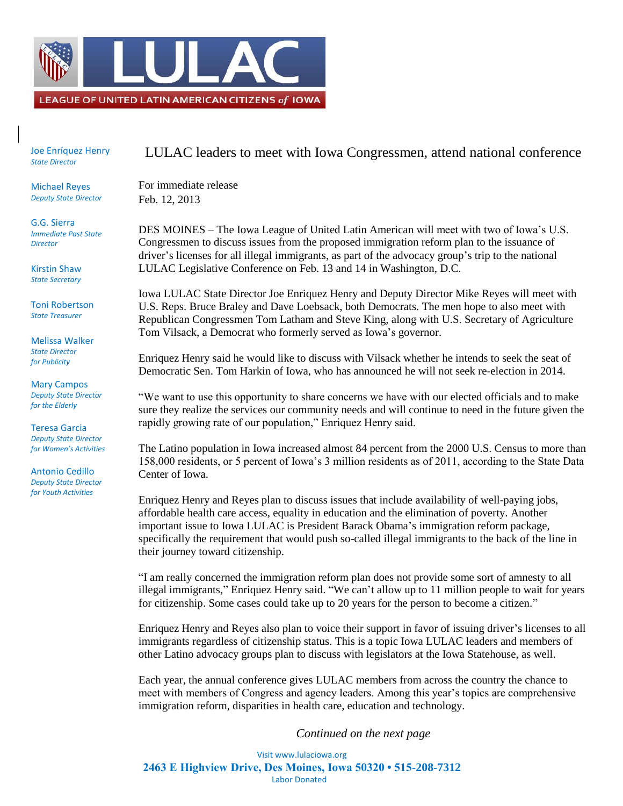

Joe Enríquez Henry *State Director*

Michael Reyes *Deputy State Director*

G.G. Sierra *Immediate Past State Director*

Kirstin Shaw *State Secretary*

Toni Robertson *State Treasurer*

Melissa Walker *State Director for Publicity*

Mary Campos *Deputy State Director for the Elderly*

Teresa Garcia *Deputy State Director for Women's Activities*

Antonio Cedillo *Deputy State Director for Youth Activities*

## LULAC leaders to meet with Iowa Congressmen, attend national conference

For immediate release Feb. 12, 2013

DES MOINES – The Iowa League of United Latin American will meet with two of Iowa's U.S. Congressmen to discuss issues from the proposed immigration reform plan to the issuance of driver's licenses for all illegal immigrants, as part of the advocacy group's trip to the national LULAC Legislative Conference on Feb. 13 and 14 in Washington, D.C.

Iowa LULAC State Director Joe Enriquez Henry and Deputy Director Mike Reyes will meet with U.S. Reps. Bruce Braley and Dave Loebsack, both Democrats. The men hope to also meet with Republican Congressmen Tom Latham and Steve King, along with U.S. Secretary of Agriculture Tom Vilsack, a Democrat who formerly served as Iowa's governor.

Enriquez Henry said he would like to discuss with Vilsack whether he intends to seek the seat of Democratic Sen. Tom Harkin of Iowa, who has announced he will not seek re-election in 2014.

"We want to use this opportunity to share concerns we have with our elected officials and to make sure they realize the services our community needs and will continue to need in the future given the rapidly growing rate of our population," Enriquez Henry said.

The Latino population in Iowa increased almost 84 percent from the 2000 U.S. Census to more than 158,000 residents, or 5 percent of Iowa's 3 million residents as of 2011, according to the State Data Center of Iowa.

Enriquez Henry and Reyes plan to discuss issues that include availability of well-paying jobs, affordable health care access, equality in education and the elimination of poverty. Another important issue to Iowa LULAC is President Barack Obama's immigration reform package, specifically the requirement that would push so-called illegal immigrants to the back of the line in their journey toward citizenship.

"I am really concerned the immigration reform plan does not provide some sort of amnesty to all illegal immigrants," Enriquez Henry said. "We can't allow up to 11 million people to wait for years for citizenship. Some cases could take up to 20 years for the person to become a citizen."

Enriquez Henry and Reyes also plan to voice their support in favor of issuing driver's licenses to all immigrants regardless of citizenship status. This is a topic Iowa LULAC leaders and members of other Latino advocacy groups plan to discuss with legislators at the Iowa Statehouse, as well.

Each year, the annual conference gives LULAC members from across the country the chance to meet with members of Congress and agency leaders. Among this year's topics are comprehensive immigration reform, disparities in health care, education and technology.

*Continued on the next page*

Visit www.lulaciowa.org **2463 E Highview Drive, Des Moines, Iowa 50320 • 515-208-7312** Labor Donated